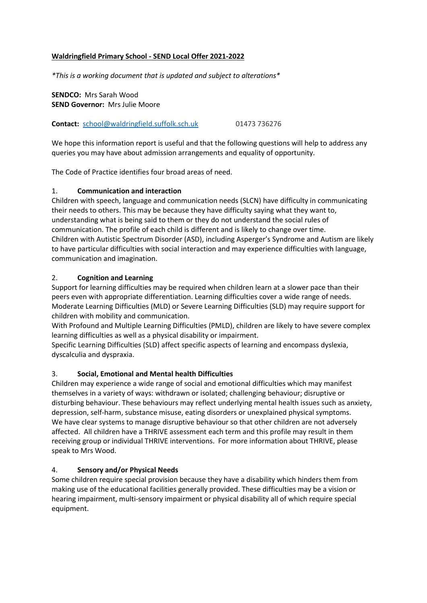#### **Waldringfield Primary School - SEND Local Offer 2021-2022**

*\*This is a working document that is updated and subject to alterations\**

**SENDCO:** Mrs Sarah Wood **SEND Governor:** Mrs Julie Moore

**Contact:** [school@waldringfield.suffolk.sch.uk](mailto:school@waldringfield.suffolk.sch.uk) 01473 736276

We hope this information report is useful and that the following questions will help to address any queries you may have about admission arrangements and equality of opportunity.

The Code of Practice identifies four broad areas of need.

#### 1. **Communication and interaction**

Children with speech, language and communication needs (SLCN) have difficulty in communicating their needs to others. This may be because they have difficulty saying what they want to, understanding what is being said to them or they do not understand the social rules of communication. The profile of each child is different and is likely to change over time. Children with Autistic Spectrum Disorder (ASD), including Asperger's Syndrome and Autism are likely to have particular difficulties with social interaction and may experience difficulties with language, communication and imagination.

## 2. **Cognition and Learning**

Support for learning difficulties may be required when children learn at a slower pace than their peers even with appropriate differentiation. Learning difficulties cover a wide range of needs. Moderate Learning Difficulties (MLD) or Severe Learning Difficulties (SLD) may require support for children with mobility and communication.

With Profound and Multiple Learning Difficulties (PMLD), children are likely to have severe complex learning difficulties as well as a physical disability or impairment.

Specific Learning Difficulties (SLD) affect specific aspects of learning and encompass dyslexia, dyscalculia and dyspraxia.

## 3. **Social, Emotional and Mental health Difficulties**

Children may experience a wide range of social and emotional difficulties which may manifest themselves in a variety of ways: withdrawn or isolated; challenging behaviour; disruptive or disturbing behaviour. These behaviours may reflect underlying mental health issues such as anxiety, depression, self-harm, substance misuse, eating disorders or unexplained physical symptoms. We have clear systems to manage disruptive behaviour so that other children are not adversely affected. All children have a THRIVE assessment each term and this profile may result in them receiving group or individual THRIVE interventions. For more information about THRIVE, please speak to Mrs Wood.

## 4. **Sensory and/or Physical Needs**

Some children require special provision because they have a disability which hinders them from making use of the educational facilities generally provided. These difficulties may be a vision or hearing impairment, multi-sensory impairment or physical disability all of which require special equipment.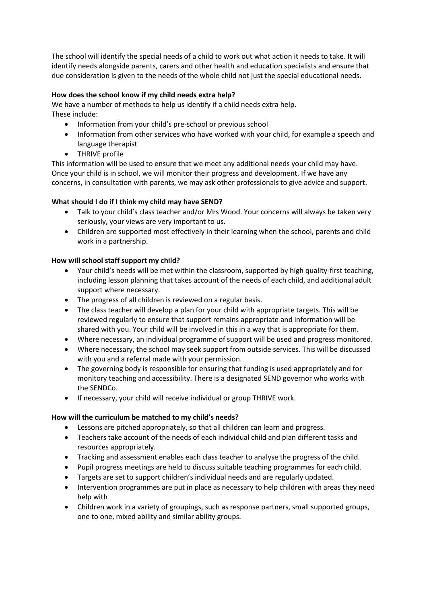The school will identify the special needs of a child to work out what action it needs to take. It will identify needs alongside parents, carers and other health and education specialists and ensure that due consideration is given to the needs of the whole child not just the special educational needs.

## **How does the school know if my child needs extra help?**

We have a number of methods to help us identify if a child needs extra help. These include:

- Information from your child's pre-school or previous school
- Information from other services who have worked with your child, for example a speech and language therapist
- THRIVE profile

This information will be used to ensure that we meet any additional needs your child may have. Once your child is in school, we will monitor their progress and development. If we have any concerns, in consultation with parents, we may ask other professionals to give advice and support.

## **What should I do if I think my child may have SEND?**

- Talk to your child's class teacher and/or Mrs Wood. Your concerns will always be taken very seriously, your views are very important to us.
- Children are supported most effectively in their learning when the school, parents and child work in a partnership.

## **How will school staff support my child?**

- Your child's needs will be met within the classroom, supported by high quality-first teaching, including lesson planning that takes account of the needs of each child, and additional adult support where necessary.
- The progress of all children is reviewed on a regular basis.
- The class teacher will develop a plan for your child with appropriate targets. This will be reviewed regularly to ensure that support remains appropriate and information will be shared with you. Your child will be involved in this in a way that is appropriate for them.
- Where necessary, an individual programme of support will be used and progress monitored.
- Where necessary, the school may seek support from outside services. This will be discussed with you and a referral made with your permission.
- The governing body is responsible for ensuring that funding is used appropriately and for monitory teaching and accessibility. There is a designated SEND governor who works with the SENDCo.
- If necessary, your child will receive individual or group THRIVE work.

## **How will the curriculum be matched to my child's needs?**

- Lessons are pitched appropriately, so that all children can learn and progress.
- Teachers take account of the needs of each individual child and plan different tasks and resources appropriately.
- Tracking and assessment enables each class teacher to analyse the progress of the child.
- Pupil progress meetings are held to discuss suitable teaching programmes for each child.
- Targets are set to support children's individual needs and are regularly updated.
- Intervention programmes are put in place as necessary to help children with areas they need help with
- Children work in a variety of groupings, such as response partners, small supported groups, one to one, mixed ability and similar ability groups.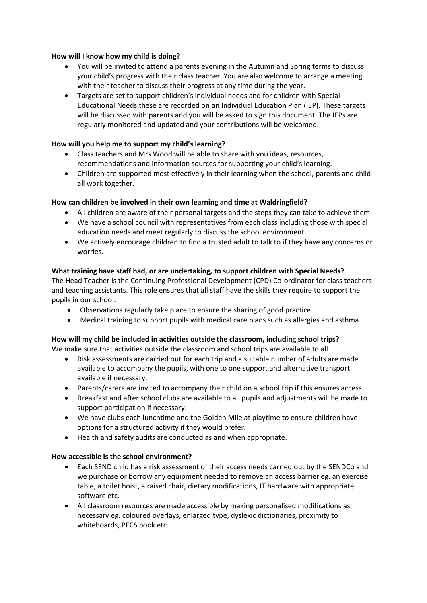#### **How will I know how my child is doing?**

- You will be invited to attend a parents evening in the Autumn and Spring terms to discuss your child's progress with their class teacher. You are also welcome to arrange a meeting with their teacher to discuss their progress at any time during the year.
- Targets are set to support children's individual needs and for children with Special Educational Needs these are recorded on an Individual Education Plan (IEP). These targets will be discussed with parents and you will be asked to sign this document. The IEPs are regularly monitored and updated and your contributions will be welcomed.

## **How will you help me to support my child's learning?**

- Class teachers and Mrs Wood will be able to share with you ideas, resources, recommendations and information sources for supporting your child's learning.
- Children are supported most effectively in their learning when the school, parents and child all work together.

#### **How can children be involved in their own learning and time at Waldringfield?**

- All children are aware of their personal targets and the steps they can take to achieve them.
- We have a school council with representatives from each class including those with special education needs and meet regularly to discuss the school environment.
- We actively encourage children to find a trusted adult to talk to if they have any concerns or worries.

#### **What training have staff had, or are undertaking, to support children with Special Needs?**

The Head Teacher is the Continuing Professional Development (CPD) Co-ordinator for class teachers and teaching assistants. This role ensures that all staff have the skills they require to support the pupils in our school.

- Observations regularly take place to ensure the sharing of good practice.
- Medical training to support pupils with medical care plans such as allergies and asthma.

# **How will my child be included in activities outside the classroom, including school trips?**

We make sure that activities outside the classroom and school trips are available to all.

- Risk assessments are carried out for each trip and a suitable number of adults are made available to accompany the pupils, with one to one support and alternative transport available if necessary.
- Parents/carers are invited to accompany their child on a school trip if this ensures access.
- Breakfast and after school clubs are available to all pupils and adjustments will be made to support participation if necessary.
- We have clubs each lunchtime and the Golden Mile at playtime to ensure children have options for a structured activity if they would prefer.
- Health and safety audits are conducted as and when appropriate.

#### **How accessible is the school environment?**

- Each SEND child has a risk assessment of their access needs carried out by the SENDCo and we purchase or borrow any equipment needed to remove an access barrier eg. an exercise table, a toilet hoist, a raised chair, dietary modifications, IT hardware with appropriate software etc.
- All classroom resources are made accessible by making personalised modifications as necessary eg. coloured overlays, enlarged type, dyslexic dictionaries, proximity to whiteboards, PECS book etc.